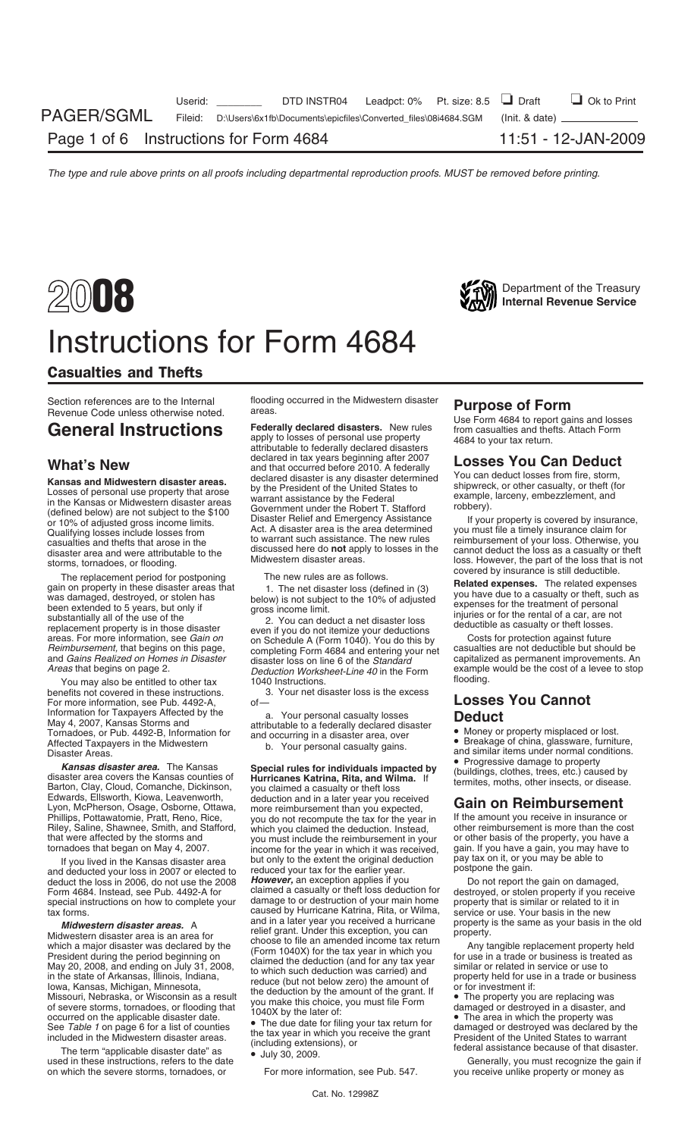# Instructions for Form 4684

### Casualties and Thefts

Section references are to the Internal and the district of the Midwestern disaster<br>Revenue Code unless otherwise noted. areas.<br>Come the Midwestern disaster **Purpose of Form** 4004 to report gains and losses

Fraction of property in these disaster areas that the mean of property in these disaster areas that the mean of the mean of the mean of property in these disaster areas that the metal of a casualty or the the seen extended

1040 Instructions.<br>1040 Instructions. The entitled to other tax flood instructions.<br>19. Your net disaster loss is the excess of the excess benefits not covered in these instructions.<br>3. For more information, see Pub. 4492-A, of-For more information, see Pub. 4492-A, of-<br>
Information for Taxpayers Affected by the a Your personal casualty losses **Deduct** Information for Taxpayers Affected by the a. Your personal casualty losses<br>
May 4, 2007, Kansas Storms and attributable to a federally declared disaster<br>
Tornadoes, or Pub. 4492-B, Information for and occurring in a disast

**Example of the Control of the Control of the Control of the Control of the Control of the Control of the Control of the Control of the Control of the Control of the Control of Barton, Clay, Cloud, Comanche, Dickinson, you** Riley, Saline, Shawnee, Smith, and Stafford, which you claimed the deduction. Instead, other reimbursement is more than the cost that were affected by the storms and vou must include the reimbursement in your or other basi that were affected by the storms and you must include the reimbursement in your or other basis of the property, you have a<br>tornadoes that began on May 4, 2007. The prome for the year in which it was received. Gain. If you

If you lived in the Kansas disaster area but only to the extent the original deduction pay tax on it, or you may be able to and deducted your loss in 2007 or elected to reduced your tax for the earlier year. postpone the g deduct the loss in 2006, do not use the 2008 *However,* an exception applies if you and the port the gain on damaged,<br>Form 4684. Instead, see Pub. 4492-A for claimed a casualty or theft loss deduction for destroyed, or sto Form 4684. Instead, see Pub. 4492-A for claimed a casualty or theft loss deduction for destroyed, or stolen property if you rece<br>Special instructions on how to complete your damage to or destruction of your main home prope special instructions on how to complete your damage to or destruction of your main home tax forms.

more the distance and the distance of the amended income tax term in the period of the amended in the period of the amended in the period of the amended in the period of the amended in the period of the amended in the stat

on which the severe storms, tornadoes, or For more information, see Pub. 547. you receive unlike property or money as

Section references are to the Internal flooding occurred in the Midwestern disaster<br>Revenue Code unless otherwise nated areas

General Instructions<br>apply to losses of personal use property 4684 to your tax return. attributable to federally declared disasters<br>declared in tax years beginning after 2007 What's New declared in tax years beginning after 2007 **Losses You Can Deduct**<br>Kansas and Midwestern disaster areas declared disaster is any disaster determined You can deduct losses from fire, storm, **Kansas and Midwestern disaster areas.** declared disaster is any disaster determined You can deduct losses from fire, storm,<br>
Losses of personal use property that arose by the President of the United States to shipwreck, o or 10% of adjusted gross income limits.<br>
Qualifying losses include losses from Act. A disaster area is the area determined you must file a timely insurance claim for<br>
casualties and the tis that arose in the towarrant such

areas. For more information, see *Gain on* on Schedule A (Form 1040). You do this by Costs for protection against future<br> *Reimbursement*, that begins on this page, completing Form 4684 and entering your net casualties are and *Gains Realized on Homes in Disaster* disaster loss on line 6 of the *Standard* capitalized as permanent improvements. An

income for the year in which it was received, gain. It you have a gain, you may ha<br>but only to the extent the original deduction pay tax on it, or you may be able to caused by Hurricane Katrina, Rita, or Wilma, service or use. Your basis in the new<br>and in a later year you received a hurricane sproperty is the same as your basis in *Midwestern disaster areas.* A and in a later year you received a hurricane property is the same as your basis in the old relief grant. Under this exception, you can property.

Example to warrant such assistance. The new rules<br>disaster area and were attributable to the<br>storms, tornadoes, or flooding.<br>The replacement period for postponing The new rules are as follows.<br>The replacement period for po

*Deduction Worksheet-Line 40* in the Form example would be the cost of a levee to stop 1040 Instructions.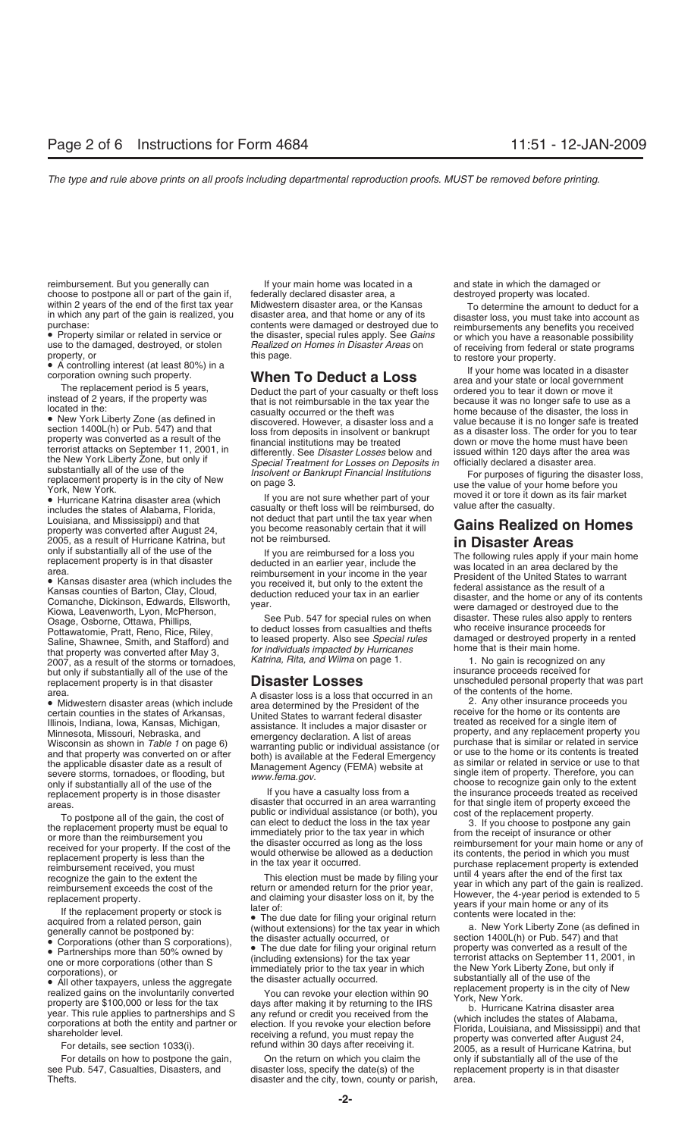choose to postpone all or part of the gain if, federally declared disaster area, a<br>within 2 years of the end of the first tax year Midwestern disaster area, or the Kansas

terrorist attacks on September 11, 2001, in<br>
the New York Liberty Zone, but only if<br>
substantially all of the use of the<br>
substantially all of the use of the<br>
substantially all of the use of the<br>
substantially all of the

2007, as a result of the storms or tornadoes, the use of the use of the use of the use of the use of the use of the<br>
2007, as a result of the storms or tornadoes, *Katrina, Rita, and Wilma* on page 1.<br>
2007, as a result of but only if substantially all of the use of the **insurance processed for the insurance property** is in that disaster **Disaster Losses** replacement property is in that disaster **Disaster Losses** unscheduled personal property that was part area.

see Pub. 547, Casualties, Disasters, and disaster loss, specify the date(s) of the replacement property is in that disaster<br>Thefts. area.

reimbursement. But you generally can If your main home was located in a and state in which the damaged or<br>choose to postpone all or part of the gain if, federally declared disaster area, a destroyed property was located. within 2 years of the end of the first tax year Midwestern disaster area, or the Kansas To determine the amount to deduct for a<br>in which any part of the gain is realized, you disaster area, and that home or any of its disa

includes the states of Alabama, Florida,<br>
Louisiana, and Mississippi) and that not deduct that part until the tax year when<br>
property was converted after August 24. you become reasonably certain that it will

areas.<br>areas. disaster that occurred in an area warranting for that single item of property exceed the<br>To perform all of the goin the sect of public or individual assistance (or both), you cost of the replacement property.

For details on how to postpone the gain, On the return on which you claim the only if substantially all of the use of the ine of the set of the set of the set of the set of the set of the set of the set of the set of the s disaster and the city, town, county or parish, area.

in which any part of the gain is realized, you<br>
purchase:<br>
purchase the disaster area, and that home or any of its<br>
expecting the disaster or the disaster, special rules apply. See Gains<br>
the disaster loss, you must take i

## property was converted after August 24, you become reasonably certain that it will **Gains Realized on Homes**

2005, as a result of Hurricane Katrina, but<br>
only if substantially all of the use of the<br>
encement property is in that disaster<br>
encement property is in that disaster<br>
encement property is in that disaster<br>
encement of th

area. A disaster loss is a loss that occurred in an<br>
e Midwestern disaster areas (which include<br>
e Midwestern disaster areas (which include<br>
e Train counties in the states of Arkansas,<br>
llinois, Indiana, Iowa, Kansas, Mich only if substantially all of the use of the<br>
replacement property is in those disaster is the insurance proceeds treated as received<br>
disaster that occurred in an area warranting for that single item of property exceed the

To postpone all of the gain, the cost of the replacement property matches equal to individual assistance (or both), you cost of the interparent property and the equal to immediately prior to the tax year in which the repla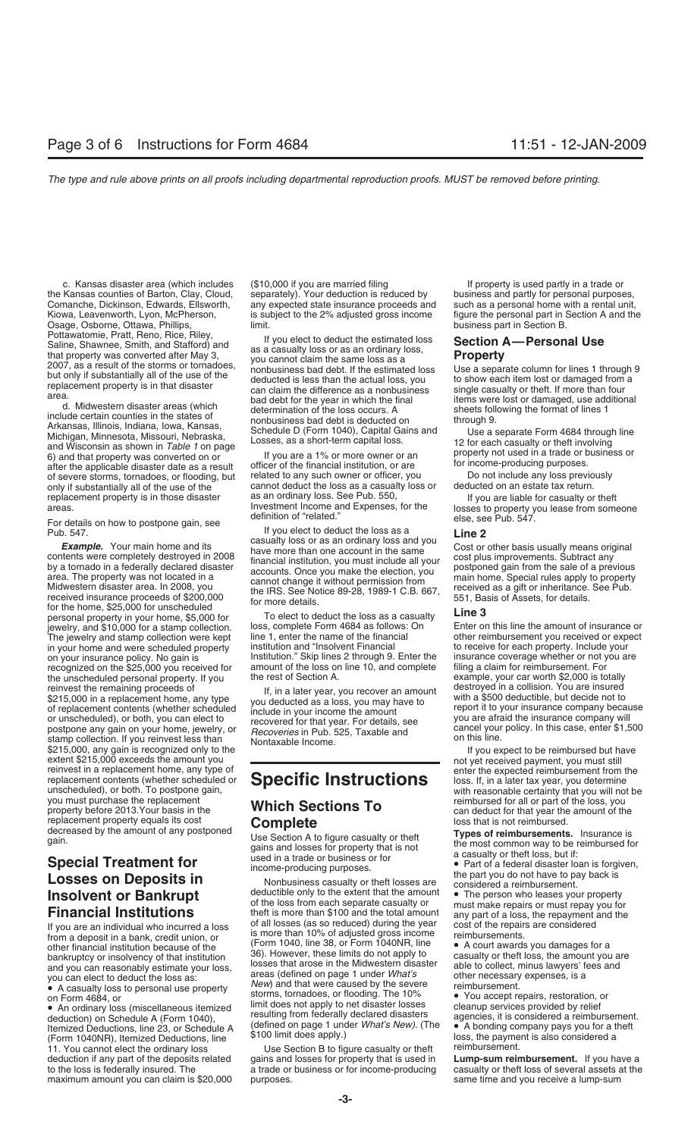c. Kansas disaster area (which includes (\$10,000 if you are married filing If property is used partly in a trade or<br>the Kansas counties of Barton, Clay, Cloud, separately). Your deduction is reduced by business and partly the Kansas counties of Barton, Clay, Cloud, separately). Your deduction is reduced by business and partly for personal purposes, Comanche, Dickinson, Edwards, Ellsworth, any expected state insurance proceeds and such as a Comanche, Dickinson, Edwards, Ellsworth, any expected state insurance proceeds and <br>Kiowa, Leavenworth, Lyon, McPherson, is subject to the 2% adjusted gross income Osage, Osborne, Ottawa, Phillips, https://www.imit.com/en/contract/community/community/community/community/community/community/community/community/community/community/community/community/community/community/community/commu Pottawatomie, Pratt, Reno, Rice, Riley,<br>Saline, Shawnee, Smith, and Stafford) and

6) and that property was converted on or for the financial institution, or are for income-producing purposes.<br>
after the applicable disaster date as a result officer of the financial institution, or are for income-producin of severe storms, tornadoes, or flooding, but related to any such owner or officer, you Do not include any loss previously if substantially all of the use of the cannot deduct the loss as a casualty loss or deducted on an replacement property is in those disaster as an ordinary loss. See Pub. 550,<br>If you are liable for casualty or theft<br>Investment Income and Expenses, for the losses to property you lease from someone

areas. Income and Expenses.<br>
Investment Income and Expenses, see Pub. 547.<br>
Pub. 547. For details on how to postpone gain, see Income definition of "related." else, see Pub. 547.

for the home, \$25,000 for unscheduled<br>personal property in your home, \$5,000 for<br>iewelry, and \$10,000 for a stamp collection. loss, complete Form 4684 as follows: On Enter on this line the amount of insurance or jewelry, and \$10,000 for a stamp collection. loss, complete Form 4684 as follows: On Enter on this line the amount of insurance or<br>The jewelry and stamp collection were kept line 1, enter the name of the financial other re The jewelry and stamp collection were kept line 1, enter the name of the financial other reimbursement you received or expected or expection of the name of the financial or expective for each property. Include your institu in your home and were scheduled property institution and "Insolvent Financial<br>on your insurance policy. No gain is lnstitution." Skip lines 2 through 9. Enter the recognized on the \$25,000 you received for amount of the loss on line 10, and complete filing a claim for reimbursement. For<br>the unscheduled personal property. If you the rest of Section A. example, your car worth \$2,000 i the unscheduled personal property. If you the rest of Section A. example, your car worth \$2,000 is totally<br>reinvest the remaining proceeds of the property is a later year you reserved as destroyed in a collision. You are i reinvest the remaining proceeds of<br>
\$215,000 in a replacement home, any type<br>
of replacement contents (whether scheduled<br>
or unscheduled), or both, you can elect to<br>
or unscheduled), or both, you can elect to<br>
or unschedul reinvest in a replacement home, any type of<br>replacement contents (whether scheduled or **Specific Instructions** loss. If, in a later tax year, you determine<br>unscheduled), or both. To postpone gain,<br>you must purchase the rep you must purchase the replacement **Which Sections To** reimbursed for all or part of the loss, you<br>property before 2013. Your basis in the **Which Sections To** can deduct for that year the amount of the replacement property equals its cost **Complete** loss that is not reimbursed.<br>
decreased by the amount of any postponed lise Section A to figure casualty or theft **Types of reimbursements.** Insurance is

deduction) on Schedule A (Form 1040), resulting from federally declared disasters agencies, it is considered a reimbursement.<br>Itemized Deductions, line 23, or Schedule A (defined on page 1 under *What's New)*. (The A bondi Form 1040NR), Itemized Deductions, line  $\frac{100 \text{ H H H}}{11}$  and the Section B to figure casualty or theft reimbursement.<br>11. You cannot elect the ordinary loss Use Section B to figure casualty or theft reimbursement.<br>11. Y deduction if any part of the deposits related gains and losses for property that is used in maximum amount you can claim is \$20,000 purposes.

is subject to the 2% adjusted gross income figure the personal part in Section A and the limit.

Follow and Wisconsin as shown in Table 1 on page<br>
Saline, Shawnee, Smith, and Stafford) and<br>
that property was converted after May 3,<br>
2007, as a result of the storms or tornadoes,<br>
the start of the start of the start of t

cannot deduct the loss as a casualty loss or as an ordinary loss. See Pub. 550,

Fub. 547.<br> **Example.** Your main home and its<br>
contents were completely destroyed in 2008<br>
by a tornado in a federally declared disaster<br>
by a tornado in a federally declared disaster<br>
accounts. Once you make the election,

decreased by the amount of any postponed<br>gain.<br>Similar the most common way to be reimbursed for<br>session A to figure casualty or theft<br>income-producing purposes.<br>Losses on Deposits in<br>Nonbusiness casualty or theft losses ar

**Insolvent or Bankrupt** deductible only to the extent that the amount<br> **Financial Institutions** deductions the loss from each separate casualty or<br>
If you are an individual who incurred a loss des so reduced) during the ye If you are an individual who incurred a loss of all losses (as so reduced) during the year cost of the repairs are considered<br>from a deposit in a bank, credit union, or is more than 10% of adjusted gross income reimburseme other financial institution because of the (FOIIII 1040, line 36, or FOIIII 1040INR, line • A court awards you damages for a<br>bankruption passes in a mount you are about a set in the set limits do not apply to casually or t bankruptcy or insolvency of that institution 36). However, these limits do not apply to casualty or theft loss, the amount you are losses that arose in the Midwestern disaster able to collect, minus lawyers' fees and and y and you can reasonably estimate your loss, losses that arose in the Midwestern disaster able to collect, minus lawyers' for a reas (defined on page 1 under *What's* other necessary expenses, is a reas (defined on page 1 un xou can reasonably estimate you loss, areas (defined on page 1 under *What's* other necessary you can elect to deduct the loss as:  $New$ ) and that were caused by the severe reimbursement. • A casualty loss to personal use property *New*) and that were caused by the severe reimbursement.<br>
on Form 4684, or<br>
on Form 4684, or storms, tornadoes, or flooding. The 10% • You accept repairs, restoration, climit does not apply to net disaster losses cleanup services provided by relief • An ordinary loss (miscellaneous itemized limit does not apply to net disaster losses cleanup services provided by relief<br>deduction) on Schedule A (Form 1040), resulting from federally declared disasters agencies, it is c

insurance coverage whether or not you are filing a claim for reimbursement. For

can deduct for that year the amount of the loss that is not reimbursed.

to the loss is federally insured. The a trade or business or for income-producing casualty or theft loss of several assets at the maximum amount you can claim is \$20,000 purposes.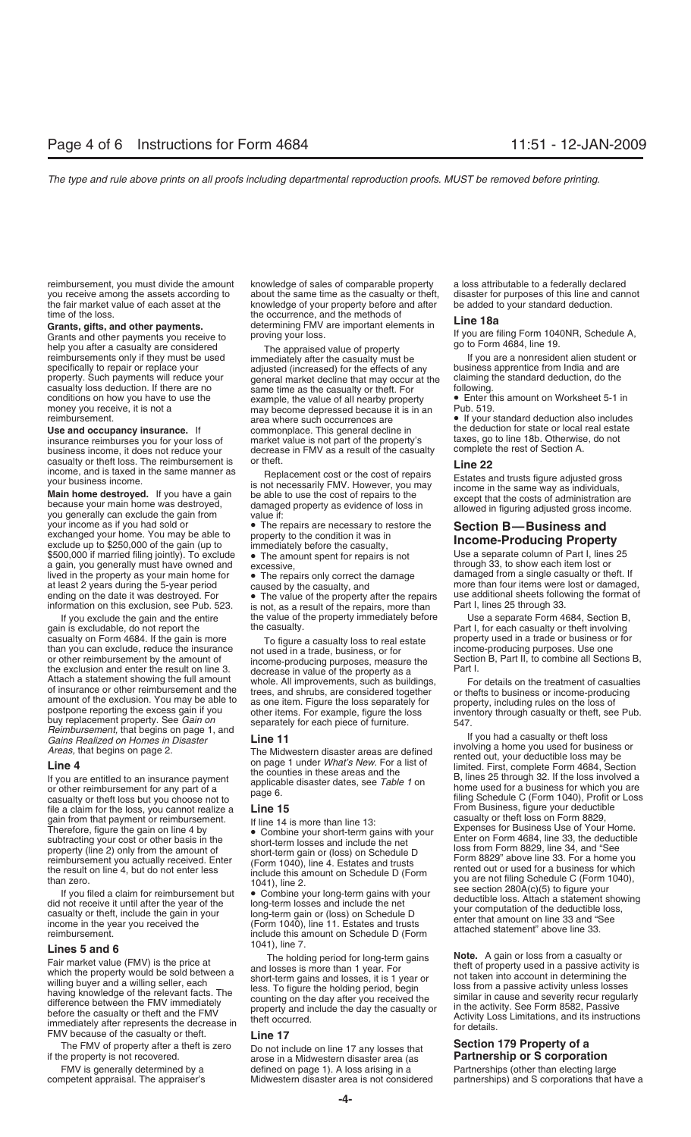reimbursement, you must divide the amount knowledge of sales of comparable property a loss attributable to a federally declared<br>you receive among the assets according to about the same time as the casualty or theft, disast you receive among the assets according to about the same time as the casualty or theft, disaster for purposes of this line and c<br>the fair market value of each asset at the knowledge of your property before and after be add

Grants and other payments you receive to proving your loss.<br>
The approxised value of property and other payments you receive to proving your loss.<br>
The appraised value of property go to Form 4684, line 19.

business income, it does not reduce your decrease in FMV as a result of the casualty casualty or the rest of the rest of the rest of the rest of the rest of the rest of the rest of the rest of the rest of the rest of the r

your income as if you had sold or<br>exchanged your home. You may be able to property to the condition it was in<br>exclude up to \$250,000 of the gain (up to immediately before the casualty,<br>\$500,000 if married filing jointly). \$500,000 if married filing jointly). To exclude • The amount spent for repairs is not Use a separate column of Part I, lines 25 a gain, you generally must have owned and excessive,<br>ived in the property as your main home fo lived in the property as your main home for  $\bullet$  The repairs only correct the damage damaged from a single casualty or theft. If at least 2 years during the 5-year period caused by the casualty, and more than four items we at least 2 years during the 5-year period caused by the casualty, and more than four items were lost or damaged,<br>ending on the date it was destroyed. For  $\bullet$  The value of the property after the repairs use additional shee ending on the date it was destroyed. For • The value of the property after the repairs use additional sheets follow<br>information on this exclusion, see Pub. 523. is not, as a result of the repairs, more than Part I, lines 2

gain is excludable, do not report the the casualty.<br>
casualty on Form 4684. If the gain is more To figure a casualty loss to real estate property used in a trade or business or for casualty on Form 4684. If the gain is more To figure a casualty loss to real estate property used in a trade or business or than you can exclude, reduce the insurance not used in a trade, business, or for income-producing than you can exclude, reduce the insurance<br>or other reimbursement by the amount of<br>the exclusion and enter the result on line 3.<br>Attach a statement showing the full amount<br>Attach a statement showing the full amount<br>Attach of insurance or other reimbursement and the<br>amount of the exclusion. You may be able to<br>postpone reporting the excess gain if you<br>buy replacement property. See Gain on<br>buy replacement property. See Gain on<br>buy replacement

casualty or theft loss but you choose not to<br>
file a claim for the loss, you cannot realize a<br> **Line 15** From Business, figure your deductible<br>
realized a late of the loss on Form 8829, gain from that payment or reimbursement. If line 14 is more than line 13:<br>Therefore, figure the gain on line 4 by **Combine your short-term gains with your** Expenses for Business Use of Your Home. Therefore, figure the gain on line 4 by<br>subtracting your cost or other basis in the<br>property (line 2) only from the amount of<br>short-term gain or (loss) on Schedule D<br>loss from Form 8829, line 34, and "See

**Lines 5 and 6**<br>
Fair market value (FMV) is the price at<br>
which the property would be sold between a<br>
willing buyer and a willing seller, each<br>
market value (FMV) is the price at<br>
which the property would be sold between a

knowledge of your property before and after<br>the occurrence, and the methods of time of the loss.<br> **Grants, gifts, and other payments.** the occurrence, and the methods of **Line 18a**<br>
Grants and other payments you receive to proving your loss. If you are f

Frace casually are considered<br>
The appraised value of property<br>
reimbursements only if they must be used<br>
property. Such payments will reduce your<br>
property. Such payments will reduce your<br>
casualty loss deduction. If ther money you receive, it is not a<br>money you receive, it is not a<br>reimbursement. area where such occurrences are **a** Pub. 519.<br>**Use and occupancy insurance.** If commonplace. This general decline in the deduction for state or l commonplace. This general decline in the deduction for state or local real esta<br>market value is not part of the property's taxes, go to line 18b. Otherwise, do not insurance reimburses you for your loss of market value is not part of the property's taxes, go to line 18b. Otherwise<br>business income it does not reduce your decrease in FMV as a result of the casualty complete the rest of

casualty or theft loss. The reimbursement is<br>
income, and is taxed in the same manner as<br>
your business income.<br> **Main home destroyed.** If you have a gain<br>
be able to use the cost of repairs to the<br>
because your main home

is not, as a result of the repairs, more than If you exclude the gain and the entire the value of the property immediately before Use a separate Form 4684, Section B,<br>In is excludable, do not report the section b, the casualty or the the throublying

FMV because of the casualty or theft.<br>
The FMV of property after a theft is zero<br>
if the property is not recovered.<br>
FMV is generally determined by a<br>
FMV is generally determined by a<br>
FMV is generally determined by a<br>
FMV FMV is generally determined by a defined on page 1). A loss arising in a<br>competent appraisal. The appraiser's Midwestern disaster area is not considered

Gains Realized on Homes in Disaster<br>
Areas, that begins on page 2.<br>
Line 11<br>
Areas, that begins on page 2.<br>
Line 4<br>
If you had a casualty or theft loss<br>
on page 1 under What's New. For a list of<br>
If you had a casualty or t property (line 2) only from the amount of<br>
reimbursement you actually received. Enter<br>
the result on line 4, but do not enter less<br>
than zero.<br>
If you filed a claim for reimbursement but<br>
combine you long-term gains with y

partnerships) and S corporations that have a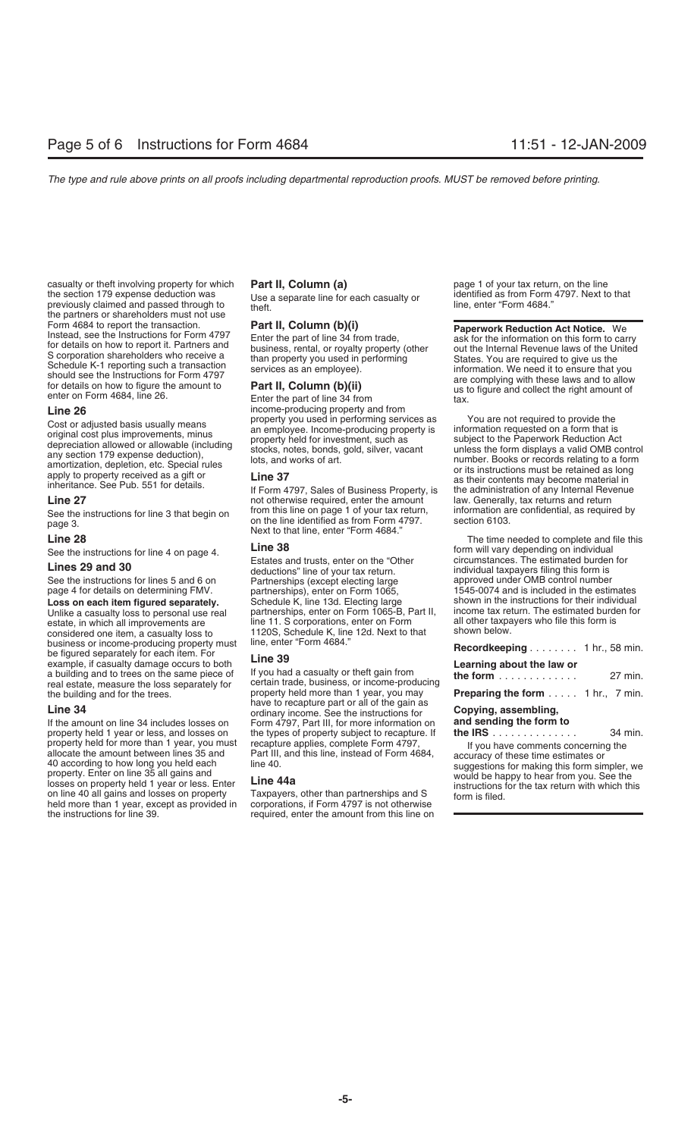casualty or theft involving property for which **Part II, Column (a)** page 1 of your tax return, on the line<br>the section 179 expense deduction was Use a separate line for each casualty or identified as from Form 4797. Next

See the instructions for lines 5 and 6 on Partnerships (except electing large page 4 for details on determining FMV. partnerships), enter on Form 1065,

estate, in which all improvements are line 11. S corporations, enter on Form all other taxpayers who file this form is considered one item, a casualty loss to 1120S, Schedule K, line 12d. Next to that shown below. considered one item, a casualty loss to that business or income-producing property must line, enter "Form 4684." business or income-producing property must<br>be figured separately for each item. For<br>example, if casualty damage occurs to both<br>a building and to trees on the same piece of life you had a casualty or theft gain from **Learni** 

If the amount on line 34 includes losses on Form 4797, Part III, for more information on property held 1 year or less, and losses on the types of property subject to recapture. If property held 1 year or less, and losses on the types of property subject to recapture. If property held for more than 1 year, you must recapture applies, complete Form 4797, property held for more than 1 year, you must<br>allocate the amount between lines 35 and<br>40 according to how long you held each<br>property. Enter on line 35 all gains and<br>losses on property held 1 year or less. Enter<br>losses on losses on property held 1 year or less. Enter<br>on line 40 all gains and losses on property Taxpayers, other than partnerships and S form is filed.<br>held more than 1 year, except as provided in corporations, if Form 4797 is n held more than 1 year, except as provided in the instructions for line 39.

**Line 26** income-producing property and from<br>Cent are diverted basis vaually means **property you used in performing services** as

Line 27<br>See the instructions for line 3 that begin on from this line on page 1 of your tax return, information are confidential, as required by See the instructions for line 3 that begin on from this line on page 1 of your tax return, information are confidential, as required by<br>page 3. Next to that line, enter "Form 4684."<br>Line 28 The time needed to complete and

Estates and trusts, enter on the "Other circumstances. The estimated burden deductions" line of your tax return.<br>See the instructions for lines 5 and 6 on Partnerships (except electing large approved under OMB control numb partnerships, enter on Form 1065-B, Part II, line 11. S corporations, enter on Form

a building and to trees on the same piece of the you had a casualty or thett gain from<br>real estate, measure the loss separately for certain trade, business, or income-producing<br>the building and for the trees.<br>property held property held more than 1 year, you may have to recapture part or all of the gain as have to recapture part or all of the gain as **Line 34** ordinary income. See the instructions for **Copying, assembling,**

required, enter the amount from this line on

Form 4684 to report the transaction.<br>
Instead, see the Instructions for Form 4797<br>
School and the part of line 34 from trade,<br>
School and the School and the Information on this form to carry<br>
Schedule K-1 reporting such a

Cost or adjusted basis usually means are property you used in performing services as section and cost plus improvements, minus are property held for investment, such as the property is depreciation allowed or allowable (in

**See the instructions for line 4 on page 4. Line 38 Line 38 Line 38 form will vary depending on individual**<br>
Estates and trusts, enter on the "Other circumstances. The estimated burden for partnerships), enter on Form 1065, 1545-0074 and is included in the estimates<br>Schedule K, line 13d. Electing large shown in the instructions for their individual **Loss on each item figured separately.** Schedule K, line 13d. Electing large shown in the instructions for their individual Unlike a casualty loss to personal use real partnerships, enter on Form 1065-B, Part II, income ta

| <b>Record Keeping</b> Inf., 58 min.                             |         |
|-----------------------------------------------------------------|---------|
| Learning about the law or<br>the form $\dots \dots \dots \dots$ | 27 min. |
| <b>Preparing the form</b> 1 hr., 7 min.                         |         |
| Copying, assembling,<br>and sending the form to                 | 34 min. |